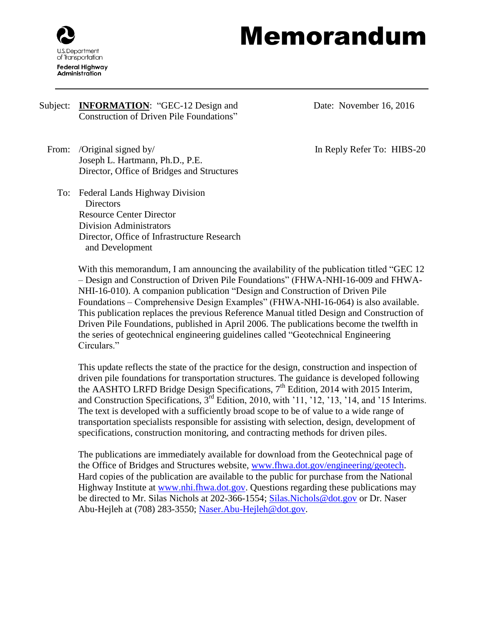

## Memorandum

## Subject: **INFORMATION**: "GEC-12 Design and Construction of Driven Pile Foundations"

From: /Original signed by/ Joseph L. Hartmann, Ph.D., P.E. Director, Office of Bridges and Structures

To: Federal Lands Highway Division **Directors** Resource Center Director Division Administrators Director, Office of Infrastructure Research and Development

Date: November 16, 2016

In Reply Refer To: HIBS-20

With this memorandum, I am announcing the availability of the publication titled "GEC 12 – Design and Construction of Driven Pile Foundations" (FHWA-NHI-16-009 and FHWA-NHI-16-010). A companion publication "Design and Construction of Driven Pile Foundations – Comprehensive Design Examples" (FHWA-NHI-16-064) is also available. This publication replaces the previous Reference Manual titled Design and Construction of Driven Pile Foundations, published in April 2006. The publications become the twelfth in the series of geotechnical engineering guidelines called "Geotechnical Engineering Circulars."

This update reflects the state of the practice for the design, construction and inspection of driven pile foundations for transportation structures. The guidance is developed following the AASHTO LRFD Bridge Design Specifications, 7<sup>th</sup> Edition, 2014 with 2015 Interim, and Construction Specifications, 3rd Edition, 2010, with '11, '12, '13, '14, and '15 Interims. The text is developed with a sufficiently broad scope to be of value to a wide range of transportation specialists responsible for assisting with selection, design, development of specifications, construction monitoring, and contracting methods for driven piles.

The publications are immediately available for download from the Geotechnical page of the Office of Bridges and Structures website, [www.fhwa.dot.gov/engineering/geotech.](http://www.fhwa.dot.gov/engineering/geotech/) Hard copies of the publication are available to the public for purchase from the National Highway Institute at [www.nhi.fhwa.dot.gov.](https://www.nhi.fhwa.dot.gov/home.aspx) Questions regarding these publications may be directed to Mr. Silas Nichols at 202-366-1554; [Silas.Nichols@dot.gov](mailto:Silas.Nichols@dot.gov) or Dr. Naser Abu-Hejleh at (708) 283-3550; [Naser.Abu-Hejleh@dot.gov.](mailto:Naser.Abu-Hejleh@dot.gov)